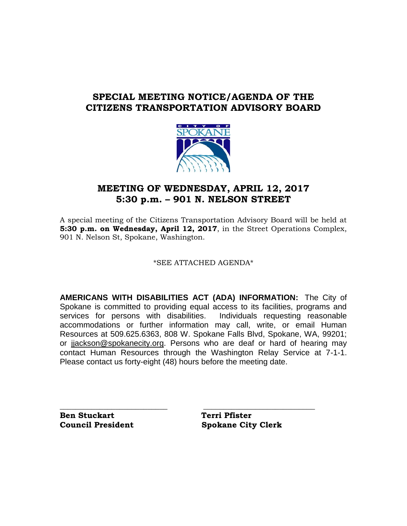## **SPECIAL MEETING NOTICE/AGENDA OF THE CITIZENS TRANSPORTATION ADVISORY BOARD**



## **MEETING OF WEDNESDAY, APRIL 12, 2017 5:30 p.m. – 901 N. NELSON STREET**

A special meeting of the Citizens Transportation Advisory Board will be held at **5:30 p.m. on Wednesday, April 12, 2017**, in the Street Operations Complex, 901 N. Nelson St, Spokane, Washington.

#### \*SEE ATTACHED AGENDA\*

**AMERICANS WITH DISABILITIES ACT (ADA) INFORMATION:** The City of Spokane is committed to providing equal access to its facilities, programs and services for persons with disabilities. Individuals requesting reasonable accommodations or further information may call, write, or email Human Resources at 509.625.6363, 808 W. Spokane Falls Blvd, Spokane, WA, 99201; or [jjackson@spokanecity.org.](mailto:jjackson@spokanecity.org) Persons who are deaf or hard of hearing may contact Human Resources through the Washington Relay Service at 7-1-1. Please contact us forty-eight (48) hours before the meeting date.

**\_\_\_\_\_\_\_\_\_\_\_\_\_\_\_\_\_\_\_\_\_\_\_\_\_\_\_ \_\_\_\_\_\_\_\_\_\_\_\_\_\_\_\_\_\_\_\_\_\_\_\_\_\_\_\_**

**Ben Stuckart** Terri Pfister

**Council President Spokane City Clerk**